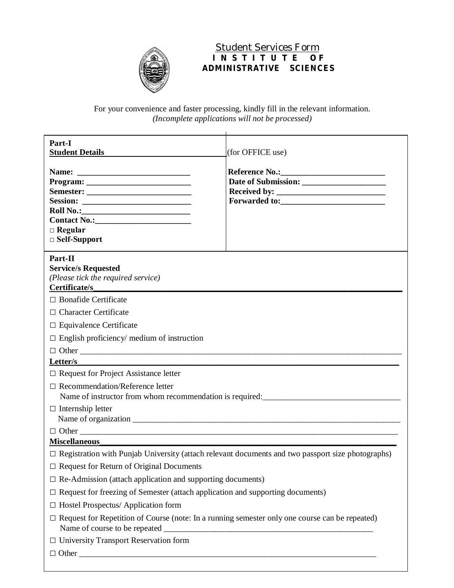

 Student Services Form **I N S T I T U T E O F ADMINISTRATIVE SCIENCES**

For your convenience and faster processing, kindly fill in the relevant information. *(Incomplete applications will not be processed)*

| Part-I<br><b>Student Details</b>                                                                         | (for OFFICE use) |
|----------------------------------------------------------------------------------------------------------|------------------|
| $Program: ____________$<br>$\Box$ Regular<br>$\Box$ Self-Support                                         |                  |
| Part-II<br><b>Service/s Requested</b><br>(Please tick the required service)<br>Certificate/s             |                  |
| $\Box$ Bonafide Certificate                                                                              |                  |
| $\Box$ Character Certificate                                                                             |                  |
| $\Box$ Equivalence Certificate                                                                           |                  |
| $\Box$ English proficiency/ medium of instruction                                                        |                  |
|                                                                                                          |                  |
| Letter/s                                                                                                 |                  |
| $\Box$ Request for Project Assistance letter                                                             |                  |
| $\Box$ Recommendation/Reference letter                                                                   |                  |
| $\Box$ Internship letter                                                                                 |                  |
|                                                                                                          |                  |
|                                                                                                          |                  |
| <b>Miscellaneous</b>                                                                                     |                  |
| $\Box$ Registration with Punjab University (attach relevant documents and two passport size photographs) |                  |
| $\Box$ Request for Return of Original Documents                                                          |                  |
| $\Box$ Re-Admission (attach application and supporting documents)                                        |                  |
| $\Box$ Request for freezing of Semester (attach application and supporting documents)                    |                  |
| $\Box$ Hostel Prospectus/ Application form                                                               |                  |
| $\Box$ Request for Repetition of Course (note: In a running semester only one course can be repeated)    |                  |
| $\Box$ University Transport Reservation form                                                             |                  |
| $\Box$ Other                                                                                             |                  |